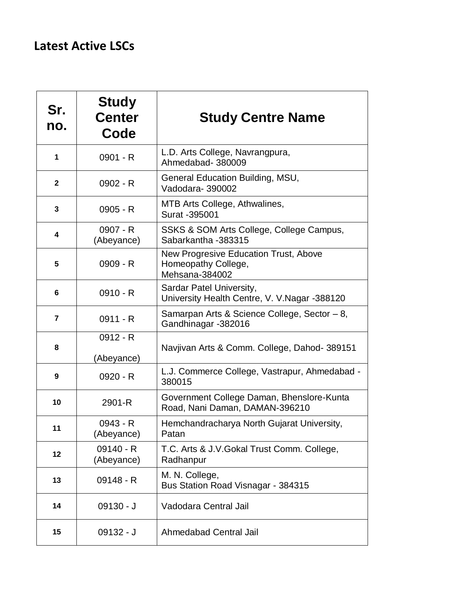## **Latest Active LSCs**

| Sr.<br>no.   | <b>Study</b><br><b>Center</b><br>Code | <b>Study Centre Name</b>                                                       |
|--------------|---------------------------------------|--------------------------------------------------------------------------------|
| 1            | $0901 - R$                            | L.D. Arts College, Navrangpura,<br>Ahmedabad-380009                            |
| $\mathbf{2}$ | $0902 - R$                            | General Education Building, MSU,<br>Vadodara-390002                            |
| 3            | $0905 - R$                            | MTB Arts College, Athwalines,<br>Surat -395001                                 |
| 4            | 0907 - R<br>(Abeyance)                | SSKS & SOM Arts College, College Campus,<br>Sabarkantha - 383315               |
| 5            | 0909 - R                              | New Progresive Education Trust, Above<br>Homeopathy College,<br>Mehsana-384002 |
| 6            | $0910 - R$                            | Sardar Patel University,<br>University Health Centre, V. V. Nagar -388120      |
| 7            | $0911 - R$                            | Samarpan Arts & Science College, Sector - 8,<br>Gandhinagar -382016            |
| 8            | $0912 - R$<br>(Abeyance)              | Navjivan Arts & Comm. College, Dahod-389151                                    |
| 9            | $0920 - R$                            | L.J. Commerce College, Vastrapur, Ahmedabad -<br>380015                        |
| 10           | 2901-R                                | Government College Daman, Bhenslore-Kunta<br>Road, Nani Daman, DAMAN-396210    |
| 11           | 0943 - R<br>(Abeyance)                | Hemchandracharya North Gujarat University,<br>Patan                            |
| 12           | $09140 - R$<br>(Abeyance)             | T.C. Arts & J.V. Gokal Trust Comm. College,<br>Radhanpur                       |
| 13           | $09148 - R$                           | M. N. College,<br>Bus Station Road Visnagar - 384315                           |
| 14           | $09130 - J$                           | Vadodara Central Jail                                                          |
| 15           | $09132 - J$                           | Ahmedabad Central Jail                                                         |